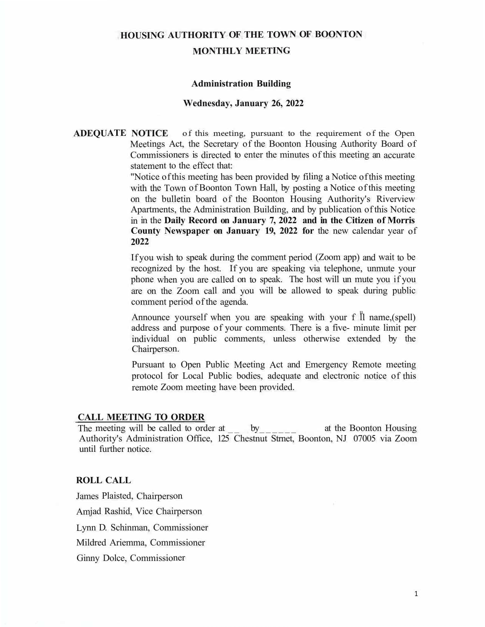## **HOUSING AUTHORITY OF THE TOWN OF BOONTON**

#### **MONTHLY MEETING**

#### **Administration Building**

#### **Wednesday, January 26, 2022**

**ADEQUATE NOTICE** of this meeting, pursuant to the requirement of the Open Meetings Act, the Secretary of the Boonton Housing Authority Board of Commissioners is directed to enter the minutes of this meeting an accurate statement to the effect that:

> "Notice of this meeting has been provided by filing a Notice of this meeting with the Town of Boonton Town Hall, by posting a Notice of this meeting on the bulletin board of the Boonton Housing Authority's Riverview Apartments, the Administration Building, and by publication of this Notice in in the **Daily Record on January 7, 2022 and in the Citizen of Morris County Newspaper on January 19, 2022 for** the new calendar year of **2022**

> If you wish to speak during the comment period (Zoom app) and wait to be recognized by the host. If you are speaking via telephone, unmute your phone when you are called on to speak. The host will un mute you if you are on the Zoom call and you will be allowed to speak during public comment period of the agenda.

> Announce yourself when you are speaking with your f  $\parallel$  name, (spell) address and purpose of your comments. There is a five- minute limit per individual on public comments, unless otherwise extended by the Chairperson.

> Pursuant to Open Public Meeting Act and Emergency Remote meeting protocol for Local Public bodies, adequate and electronic notice of this remote Zoom meeting have been provided.

#### **CALL MEETING TO ORDER**

The meeting will be called to order at \_\_\_\_\_\_ by \_\_\_\_\_\_\_ at the Boonton Housing Authority's Administration Office, 125 Chestnut Strnet, Boonton, NJ 07005 via Zoom until further notice.

#### **ROLL CALL**

James Plaisted, Chairperson Amjad Rashid, Vice Chairperson Lynn D. Schinman, Commissioner Mildred Ariemma, Commissioner Ginny Dolce, Commissioner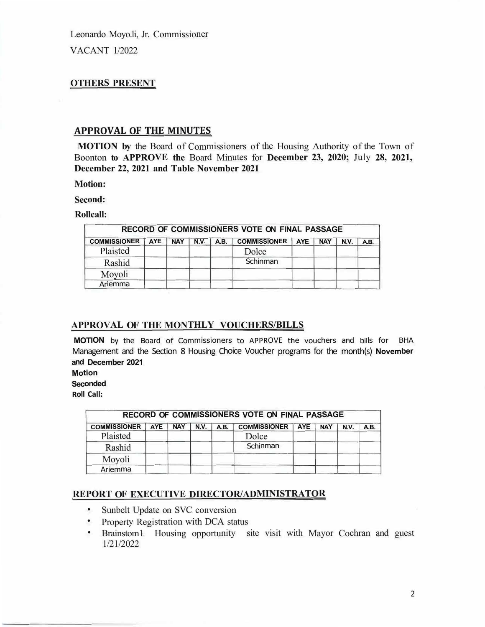Leonardo Moyo.li, Jr. Commissioner VACANT 1/2022

## **OTHERS PRESENT**

#### **APPROVAL OF THE MINUTES**

**MOTION by** the Board of Commissioners of the Housing Authority of the Town of Boonton **to APPROVE the** Board Minutes for **December 23, 2020;** July **28, 2021, December 22, 2021 and Table November 2021** 

**Motion:** 

**Second:** 

**Rollcall:** 

| RECORD OF COMMISSIONERS VOTE ON FINAL PASSAGE |            |  |                   |      |                         |  |            |             |     |  |  |
|-----------------------------------------------|------------|--|-------------------|------|-------------------------|--|------------|-------------|-----|--|--|
| <b>COMMISSIONER</b>                           | <b>AYE</b> |  | <b>NAY   N.V.</b> | A.B. | <b>COMMISSIONER AYE</b> |  | <b>NAY</b> | <b>N.V.</b> | AB. |  |  |
| Plaisted                                      |            |  |                   |      | Dolce                   |  |            |             |     |  |  |
| Rashid                                        |            |  |                   |      | Schinman                |  |            |             |     |  |  |
| Moyoli                                        |            |  |                   |      |                         |  |            |             |     |  |  |
| Ariemma                                       |            |  |                   |      |                         |  |            |             |     |  |  |

## **APPROVAL OF THE MONTHLY VOUCHERS/BILLS**

**MOTION** by the Board of Commissioners to APPROVE the vouchers and bills for BHA Management and the Section 8 Housing Choice Voucher programs for the month(s) **November and December 2021** 

**Motion** 

**Seconded** 

**Roll Call:** 

| RECORD OF COMMISSIONERS VOTE ON FINAL PASSAGE |            |            |      |             |                          |  |  |      |      |  |  |
|-----------------------------------------------|------------|------------|------|-------------|--------------------------|--|--|------|------|--|--|
| <b>COMMISSIONER</b>                           | <b>AYE</b> | <b>NAY</b> | N.V. | <b>A.B.</b> | COMMISSIONER   AYE   NAY |  |  | N.V. | A.B. |  |  |
| Plaisted                                      |            |            |      |             | Dolce                    |  |  |      |      |  |  |
| Rashid                                        |            |            |      |             | Schinman                 |  |  |      |      |  |  |
| Moyoli                                        |            |            |      |             |                          |  |  |      |      |  |  |
| Ariemma                                       |            |            |      |             |                          |  |  |      |      |  |  |

# **REPORT OF EXECUTIVE DIRECTOR/ADMINISTRATOR**

- •Sunbelt Update on SVC conversion
- Property Registration with DCA status
- Brainstom1 Housing opportunity site visit with Mayor Cochran and guest 1/21/2022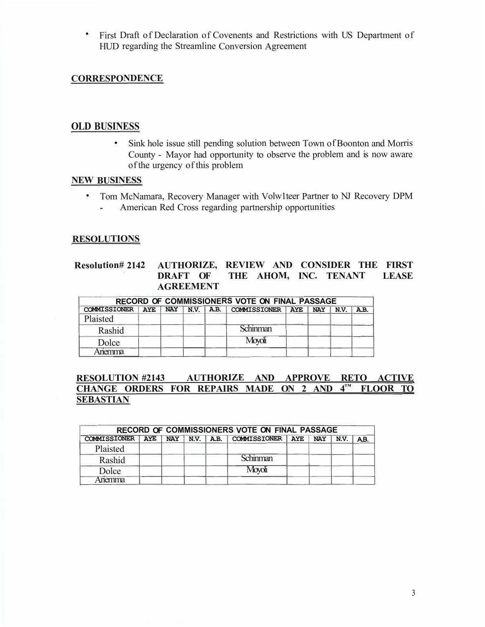• First Draft of Declaration of Covenents and Restrictions with US Department of HUD regarding the Streamline Conversion Agreement

## **CORRESPONDENCE**

## **OLD BUSINESS**

• Sink hole issue still pending solution between Town of Boonton and Morris County - Mayor had opportunity to observe the problem and is now aware of the urgency of this problem

#### **NEW BUSINESS**

• Tom McNamara, Recovery Manager with Volw1teer Partner to NJ Recovery DPM American Red Cross regarding partnership opportunities  $\overline{\phantom{a}}$ 

## **RESOLUTIONS**

#### **Resolution# 2142 AUTHORIZE, REVIEW AND CONSIDER THE FIRST DRAFT OF THE AHOM, INC. TENANT LEASE AGREEMENT**

| RECORD OF COMMISSIONERS VOTE ON FINAL PASSAGE |  |  |  |  |                                              |  |  |      |     |  |  |
|-----------------------------------------------|--|--|--|--|----------------------------------------------|--|--|------|-----|--|--|
| COMMISSIONER AYE                              |  |  |  |  | NAY   N.V.   A.B.   COMMISSIONER   AYE   NAY |  |  | N.V. | AB. |  |  |
| Plaisted                                      |  |  |  |  |                                              |  |  |      |     |  |  |
| Rashid                                        |  |  |  |  | <b>Schinman</b>                              |  |  |      |     |  |  |
| Dolce                                         |  |  |  |  | Movoli                                       |  |  |      |     |  |  |
| .nemma                                        |  |  |  |  |                                              |  |  |      |     |  |  |

## **RESOLUTION #2143 AUTHORIZE AND APPROVE RETO ACTIVE CHANGE ORDERS FOR REPAIRS MADE ON 2 AND 4 ™ FLOOR TO SEBASTIAN**

| RECORD OF COMMISSIONERS VOTE ON FINAL PASSAGE |  |  |  |  |                                                          |  |  |  |     |  |  |
|-----------------------------------------------|--|--|--|--|----------------------------------------------------------|--|--|--|-----|--|--|
|                                               |  |  |  |  | COMMISSIONER AYE NAY N.V. A.B. COMMISSIONER AYE NAY N.V. |  |  |  | AB. |  |  |
| Plaisted                                      |  |  |  |  |                                                          |  |  |  |     |  |  |
| Rashid                                        |  |  |  |  | Schinman                                                 |  |  |  |     |  |  |
| Dolce                                         |  |  |  |  | Moyoli                                                   |  |  |  |     |  |  |
| Ariemma                                       |  |  |  |  |                                                          |  |  |  |     |  |  |